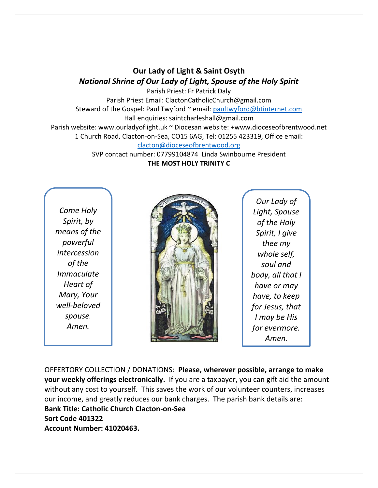## **Our Lady of Light & Saint Osyth** *National Shrine of Our Lady of Light, Spouse of the Holy Spirit*

Parish Priest: Fr Patrick Daly Parish Priest Email: ClactonCatholicChurch@gmail.com Steward of the Gospel: Paul Twyford ~ email: [paultwyford@btinternet.com](mailto:paultwyford@btinternet.com) Hall enquiries: saintcharleshall@gmail.com Parish website: www.ourladyoflight.uk ~ Diocesan website: +www.dioceseofbrentwood.net 1 Church Road, Clacton-on-Sea, CO15 6AG, Tel: 01255 423319, Office email: [clacton@dioceseofbrentwood.org](mailto:clacton@dioceseofbrentwood.org)

SVP contact number: 07799104874 Linda Swinbourne President **THE MOST HOLY TRINITY C**

*Come Holy Spirit, by means of the powerful intercession of the Immaculate Heart of Mary, Your well-beloved spouse. Amen.*



*Our Lady of Light, Spouse of the Holy Spirit, I give thee my whole self, soul and body, all that I have or may have, to keep for Jesus, that I may be His for evermore. Amen.*

OFFERTORY COLLECTION / DONATIONS: **Please, wherever possible, arrange to make your weekly offerings electronically.** If you are a taxpayer, you can gift aid the amount without any cost to yourself. This saves the work of our volunteer counters, increases our income, and greatly reduces our bank charges. The parish bank details are: **Bank Title: Catholic Church Clacton-on-Sea Sort Code 401322 Account Number: 41020463.**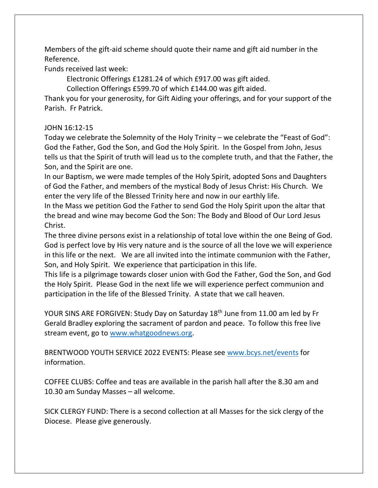Members of the gift-aid scheme should quote their name and gift aid number in the Reference.

Funds received last week:

Electronic Offerings £1281.24 of which £917.00 was gift aided.

Collection Offerings £599.70 of which £144.00 was gift aided.

Thank you for your generosity, for Gift Aiding your offerings, and for your support of the Parish. Fr Patrick.

## JOHN 16:12-15

Today we celebrate the Solemnity of the Holy Trinity – we celebrate the "Feast of God": God the Father, God the Son, and God the Holy Spirit. In the Gospel from John, Jesus tells us that the Spirit of truth will lead us to the complete truth, and that the Father, the Son, and the Spirit are one.

In our Baptism, we were made temples of the Holy Spirit, adopted Sons and Daughters of God the Father, and members of the mystical Body of Jesus Christ: His Church. We enter the very life of the Blessed Trinity here and now in our earthly life.

In the Mass we petition God the Father to send God the Holy Spirit upon the altar that the bread and wine may become God the Son: The Body and Blood of Our Lord Jesus Christ.

The three divine persons exist in a relationship of total love within the one Being of God. God is perfect love by His very nature and is the source of all the love we will experience in this life or the next. We are all invited into the intimate communion with the Father, Son, and Holy Spirit. We experience that participation in this life.

This life is a pilgrimage towards closer union with God the Father, God the Son, and God the Holy Spirit. Please God in the next life we will experience perfect communion and participation in the life of the Blessed Trinity. A state that we call heaven.

YOUR SINS ARE FORGIVEN: Study Day on Saturday 18<sup>th</sup> June from 11.00 am led by Fr Gerald Bradley exploring the sacrament of pardon and peace. To follow this free live stream event, go to [www.whatgoodnews.org.](http://www.whatgoodnews.org/)

BRENTWOOD YOUTH SERVICE 2022 EVENTS: Please see [www.bcys.net/events](http://www.bcys.net/events) for information.

COFFEE CLUBS: Coffee and teas are available in the parish hall after the 8.30 am and 10.30 am Sunday Masses – all welcome.

SICK CLERGY FUND: There is a second collection at all Masses for the sick clergy of the Diocese. Please give generously.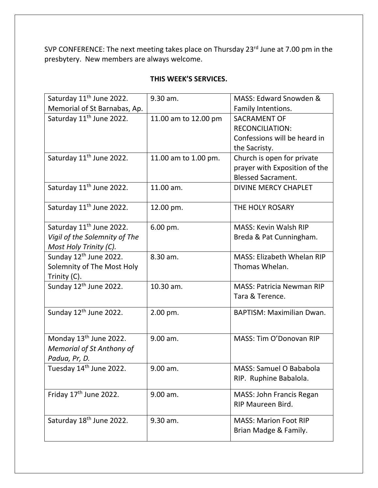SVP CONFERENCE: The next meeting takes place on Thursday 23<sup>rd</sup> June at 7.00 pm in the presbytery. New members are always welcome.

| Saturday 11 <sup>th</sup> June 2022. | 9.30 am.             | MASS: Edward Snowden &            |
|--------------------------------------|----------------------|-----------------------------------|
| Memorial of St Barnabas, Ap.         |                      | Family Intentions.                |
| Saturday 11 <sup>th</sup> June 2022. | 11.00 am to 12.00 pm | <b>SACRAMENT OF</b>               |
|                                      |                      | <b>RECONCILIATION:</b>            |
|                                      |                      | Confessions will be heard in      |
|                                      |                      | the Sacristy.                     |
| Saturday 11 <sup>th</sup> June 2022. | 11.00 am to 1.00 pm. | Church is open for private        |
|                                      |                      | prayer with Exposition of the     |
|                                      |                      | <b>Blessed Sacrament.</b>         |
| Saturday 11 <sup>th</sup> June 2022. | 11.00 am.            | <b>DIVINE MERCY CHAPLET</b>       |
|                                      |                      |                                   |
| Saturday 11 <sup>th</sup> June 2022. | 12.00 pm.            | THE HOLY ROSARY                   |
|                                      |                      |                                   |
| Saturday 11 <sup>th</sup> June 2022. | 6.00 pm.             | <b>MASS: Kevin Walsh RIP</b>      |
| Vigil of the Solemnity of The        |                      | Breda & Pat Cunningham.           |
| Most Holy Trinity (C).               |                      |                                   |
| Sunday 12 <sup>th</sup> June 2022.   | 8.30 am.             | <b>MASS: Elizabeth Whelan RIP</b> |
| Solemnity of The Most Holy           |                      | Thomas Whelan.                    |
| Trinity (C).                         |                      |                                   |
| Sunday 12 <sup>th</sup> June 2022.   | 10.30 am.            | <b>MASS: Patricia Newman RIP</b>  |
|                                      |                      | Tara & Terence.                   |
|                                      |                      |                                   |
| Sunday 12 <sup>th</sup> June 2022.   | 2.00 pm.             | <b>BAPTISM: Maximilian Dwan.</b>  |
|                                      |                      |                                   |
| Monday 13 <sup>th</sup> June 2022.   | 9.00 am.             | MASS: Tim O'Donovan RIP           |
| <b>Memorial of St Anthony of</b>     |                      |                                   |
| Padua, Pr, D.                        |                      |                                   |
| Tuesday 14 <sup>th</sup> June 2022.  | 9.00 am.             | <b>MASS: Samuel O Bababola</b>    |
|                                      |                      | RIP. Ruphine Babalola.            |
|                                      |                      |                                   |
| Friday 17 <sup>th</sup> June 2022.   | 9.00 am.             | MASS: John Francis Regan          |
|                                      |                      | RIP Maureen Bird.                 |
| Saturday 18 <sup>th</sup> June 2022. | 9.30 am.             | <b>MASS: Marion Foot RIP</b>      |
|                                      |                      | Brian Madge & Family.             |
|                                      |                      |                                   |

## **THIS WEEK'S SERVICES.**